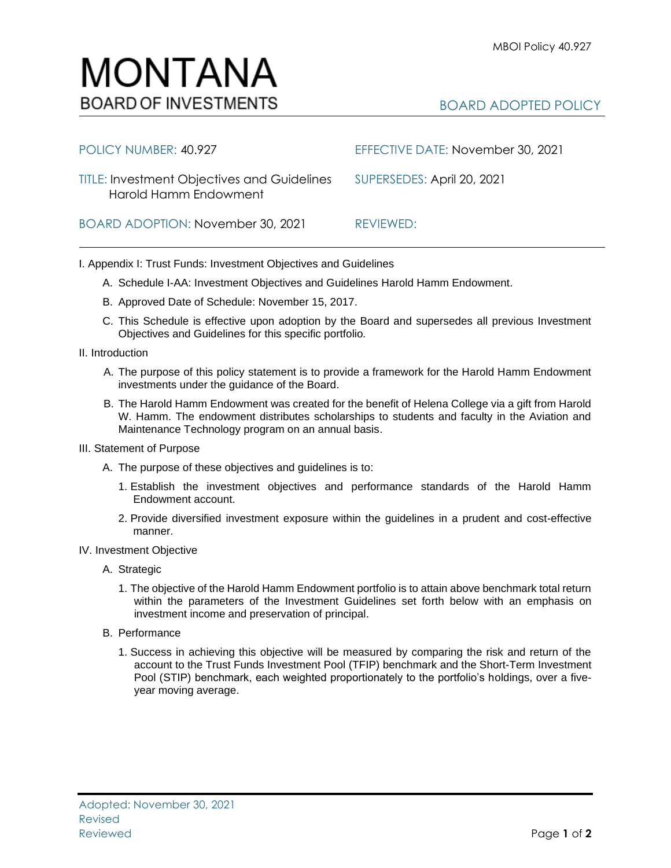## MONTANA **BOARD OF INVESTMENTS**

## BOARD ADOPTED POLICY

| POLICY NUMBER: 40.927                                                       | EFFECTIVE DATE: November 30, 2021 |
|-----------------------------------------------------------------------------|-----------------------------------|
| <b>TITLE: Investment Objectives and Guidelines</b><br>Harold Hamm Endowment | SUPERSEDES: April 20, 2021        |
| BOARD ADOPTION: November 30, 2021                                           | REVIEWED:                         |

I. Appendix I: Trust Funds: Investment Objectives and Guidelines

- A. Schedule I-AA: Investment Objectives and Guidelines Harold Hamm Endowment.
- B. Approved Date of Schedule: November 15, 2017.
- C. This Schedule is effective upon adoption by the Board and supersedes all previous Investment Objectives and Guidelines for this specific portfolio*.*
- II. Introduction
	- A. The purpose of this policy statement is to provide a framework for the Harold Hamm Endowment investments under the guidance of the Board.
	- B. The Harold Hamm Endowment was created for the benefit of Helena College via a gift from Harold W. Hamm. The endowment distributes scholarships to students and faculty in the Aviation and Maintenance Technology program on an annual basis.
- III. Statement of Purpose
	- A. The purpose of these objectives and guidelines is to:
		- 1. Establish the investment objectives and performance standards of the Harold Hamm Endowment account.
		- 2. Provide diversified investment exposure within the guidelines in a prudent and cost-effective manner.
- IV. Investment Objective
	- A. Strategic
		- 1. The objective of the Harold Hamm Endowment portfolio is to attain above benchmark total return within the parameters of the Investment Guidelines set forth below with an emphasis on investment income and preservation of principal.
	- B. Performance
		- 1. Success in achieving this objective will be measured by comparing the risk and return of the account to the Trust Funds Investment Pool (TFIP) benchmark and the Short-Term Investment Pool (STIP) benchmark, each weighted proportionately to the portfolio's holdings, over a fiveyear moving average.